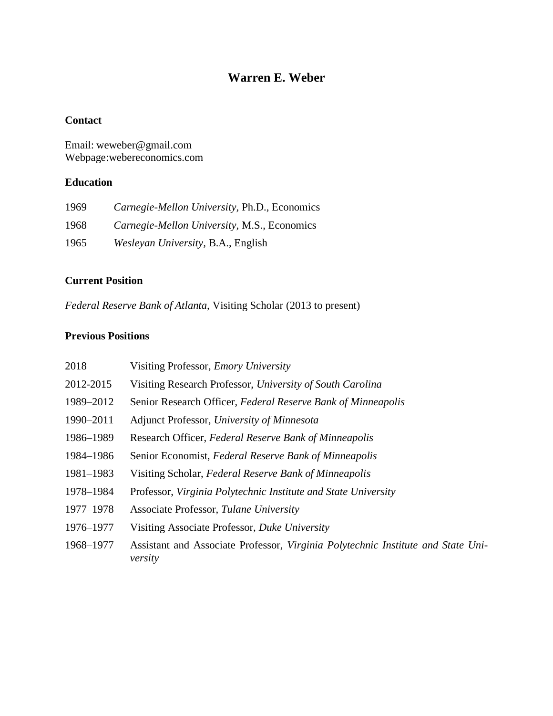# **Warren E. Weber**

# **Contact**

Email: weweber@gmail.com Webpage:webereconomics.com

# **Education**

| 1969 | Carnegie-Mellon University, Ph.D., Economics       |
|------|----------------------------------------------------|
| 1968 | <i>Carnegie-Mellon University, M.S., Economics</i> |
| 1965 | <i>Wesleyan University, B.A., English</i>          |

# **Current Position**

*Federal Reserve Bank of Atlanta,* Visiting Scholar (2013 to present)

# **Previous Positions**

| 2018      | Visiting Professor, <i>Emory University</i>                                                 |
|-----------|---------------------------------------------------------------------------------------------|
| 2012-2015 | Visiting Research Professor, University of South Carolina                                   |
| 1989-2012 | Senior Research Officer, Federal Reserve Bank of Minneapolis                                |
| 1990-2011 | Adjunct Professor, University of Minnesota                                                  |
| 1986-1989 | Research Officer, Federal Reserve Bank of Minneapolis                                       |
| 1984–1986 | Senior Economist, Federal Reserve Bank of Minneapolis                                       |
| 1981-1983 | Visiting Scholar, Federal Reserve Bank of Minneapolis                                       |
| 1978-1984 | Professor, Virginia Polytechnic Institute and State University                              |
| 1977-1978 | Associate Professor, Tulane University                                                      |
| 1976-1977 | Visiting Associate Professor, Duke University                                               |
| 1968-1977 | Assistant and Associate Professor, Virginia Polytechnic Institute and State Uni-<br>versity |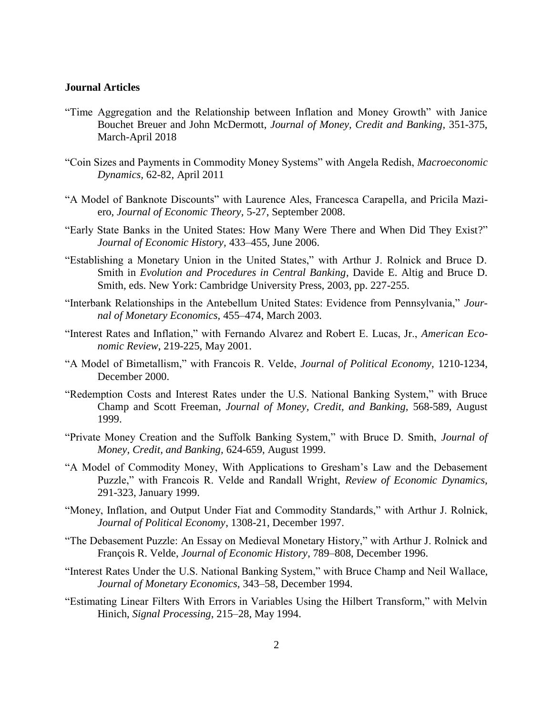#### **Journal Articles**

- "Time Aggregation and the Relationship between Inflation and Money Growth" with Janice Bouchet Breuer and John McDermott, *Journal of Money, Credit and Banking,* 351-375, March-April 2018
- "Coin Sizes and Payments in Commodity Money Systems" with Angela Redish, *Macroeconomic Dynamics,* 62-82, April 2011
- "A Model of Banknote Discounts" with Laurence Ales, Francesca Carapella, and Pricila Maziero, *Journal of Economic Theory,* 5-27, September 2008.
- "Early State Banks in the United States: How Many Were There and When Did They Exist?" *Journal of Economic History,* 433–455, June 2006.
- "Establishing a Monetary Union in the United States," with Arthur J. Rolnick and Bruce D. Smith in *Evolution and Procedures in Central Banking,* Davide E. Altig and Bruce D. Smith, eds. New York: Cambridge University Press, 2003, pp. 227-255.
- "Interbank Relationships in the Antebellum United States: Evidence from Pennsylvania," *Journal of Monetary Economics,* 455–474, March 2003.
- "Interest Rates and Inflation," with Fernando Alvarez and Robert E. Lucas, Jr., *American Economic Review*, 219-225, May 2001.
- "A Model of Bimetallism," with Francois R. Velde, *Journal of Political Economy,* 1210-1234, December 2000.
- "Redemption Costs and Interest Rates under the U.S. National Banking System," with Bruce Champ and Scott Freeman, *Journal of Money, Credit, and Banking,* 568-589, August 1999.
- "Private Money Creation and the Suffolk Banking System," with Bruce D. Smith, *Journal of Money, Credit, and Banking,* 624-659, August 1999.
- "A Model of Commodity Money, With Applications to Gresham's Law and the Debasement Puzzle," with Francois R. Velde and Randall Wright, *Review of Economic Dynamics,*  291-323, January 1999.
- "Money, Inflation, and Output Under Fiat and Commodity Standards," with Arthur J. Rolnick, *Journal of Political Economy*, 1308-21, December 1997.
- "The Debasement Puzzle: An Essay on Medieval Monetary History," with Arthur J. Rolnick and François R. Velde, *Journal of Economic History*, 789–808, December 1996.
- "Interest Rates Under the U.S. National Banking System," with Bruce Champ and Neil Wallace, *Journal of Monetary Economics,* 343–58, December 1994.
- "Estimating Linear Filters With Errors in Variables Using the Hilbert Transform," with Melvin Hinich, *Signal Processing*, 215–28, May 1994.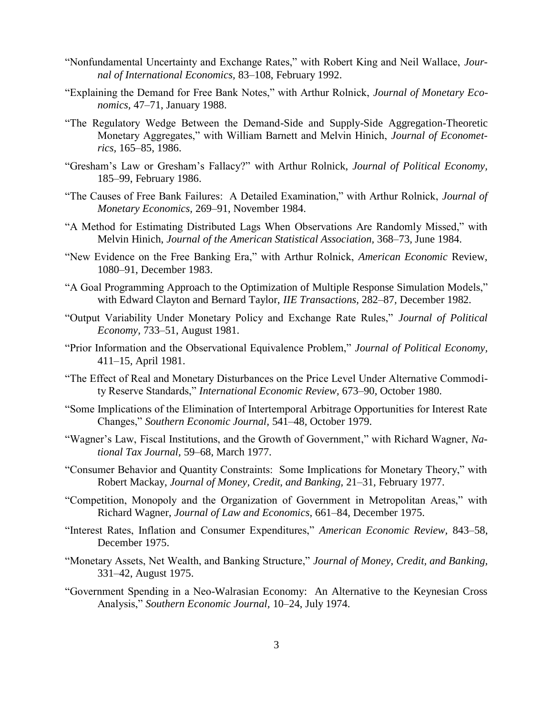- "Nonfundamental Uncertainty and Exchange Rates," with Robert King and Neil Wallace, *Journal of International Economics,* 83–108, February 1992.
- "Explaining the Demand for Free Bank Notes," with Arthur Rolnick, *Journal of Monetary Economics,* 47–71, January 1988.
- "The Regulatory Wedge Between the Demand-Side and Supply-Side Aggregation-Theoretic Monetary Aggregates," with William Barnett and Melvin Hinich, *Journal of Econometrics,* 165–85, 1986.
- "Gresham's Law or Gresham's Fallacy?" with Arthur Rolnick, *Journal of Political Economy,* 185–99, February 1986.
- "The Causes of Free Bank Failures: A Detailed Examination," with Arthur Rolnick, *Journal of Monetary Economics,* 269–91, November 1984.
- "A Method for Estimating Distributed Lags When Observations Are Randomly Missed," with Melvin Hinich, *Journal of the American Statistical Association,* 368–73*,* June 1984.
- "New Evidence on the Free Banking Era," with Arthur Rolnick, *American Economic* Review, 1080–91, December 1983.
- "A Goal Programming Approach to the Optimization of Multiple Response Simulation Models," with Edward Clayton and Bernard Taylor, *IIE Transactions,* 282–87*,* December 1982.
- "Output Variability Under Monetary Policy and Exchange Rate Rules," *Journal of Political Economy,* 733–51, August 1981.
- "Prior Information and the Observational Equivalence Problem," *Journal of Political Economy,*  411–15*,* April 1981.
- "The Effect of Real and Monetary Disturbances on the Price Level Under Alternative Commodity Reserve Standards," *International Economic Review,* 673–90, October 1980.
- "Some Implications of the Elimination of Intertemporal Arbitrage Opportunities for Interest Rate Changes," *Southern Economic Journal,* 541–48*,* October 1979.
- "Wagner's Law, Fiscal Institutions, and the Growth of Government," with Richard Wagner, *National Tax Journal,* 59–68, March 1977.
- "Consumer Behavior and Quantity Constraints: Some Implications for Monetary Theory," with Robert Mackay, *Journal of Money, Credit, and Banking,* 21–31*,* February 1977.
- "Competition, Monopoly and the Organization of Government in Metropolitan Areas," with Richard Wagner, *Journal of Law and Economics,* 661–84, December 1975.
- "Interest Rates, Inflation and Consumer Expenditures," *American Economic Review,* 843–58, December 1975.
- "Monetary Assets, Net Wealth, and Banking Structure," *Journal of Money, Credit, and Banking,* 331–42, August 1975.
- "Government Spending in a Neo-Walrasian Economy: An Alternative to the Keynesian Cross Analysis," *Southern Economic Journal,* 10–24, July 1974.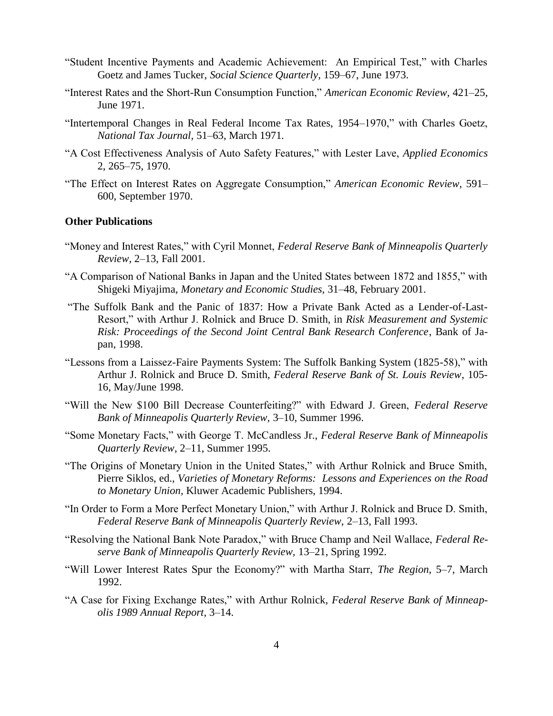- "Student Incentive Payments and Academic Achievement: An Empirical Test," with Charles Goetz and James Tucker, *Social Science Quarterly,* 159–67, June 1973.
- "Interest Rates and the Short-Run Consumption Function," *American Economic Review,* 421–25, June 1971.
- "Intertemporal Changes in Real Federal Income Tax Rates, 1954–1970," with Charles Goetz, *National Tax Journal,* 51–63, March 1971.
- "A Cost Effectiveness Analysis of Auto Safety Features," with Lester Lave, *Applied Economics* 2, 265–75, 1970.
- "The Effect on Interest Rates on Aggregate Consumption," *American Economic Review,* 591– 600, September 1970.

#### **Other Publications**

- "Money and Interest Rates," with Cyril Monnet, *Federal Reserve Bank of Minneapolis Quarterly Review*, 2–13, Fall 2001.
- "A Comparison of National Banks in Japan and the United States between 1872 and 1855," with Shigeki Miyajima, *Monetary and Economic Studies,* 31–48, February 2001.
- "The Suffolk Bank and the Panic of 1837: How a Private Bank Acted as a Lender-of-Last-Resort," with Arthur J. Rolnick and Bruce D. Smith, in *Risk Measurement and Systemic Risk: Proceedings of the Second Joint Central Bank Research Conference*, Bank of Japan, 1998.
- "Lessons from a Laissez-Faire Payments System: The Suffolk Banking System (1825-58)," with Arthur J. Rolnick and Bruce D. Smith, *Federal Reserve Bank of St. Louis Review*, 105- 16, May/June 1998.
- "Will the New \$100 Bill Decrease Counterfeiting?" with Edward J. Green, *Federal Reserve Bank of Minneapolis Quarterly Review,* 3–10, Summer 1996.
- "Some Monetary Facts," with George T. McCandless Jr., *Federal Reserve Bank of Minneapolis Quarterly Review*, 2–11, Summer 1995.
- "The Origins of Monetary Union in the United States," with Arthur Rolnick and Bruce Smith, Pierre Siklos, ed., *Varieties of Monetary Reforms: Lessons and Experiences on the Road to Monetary Union,* Kluwer Academic Publishers, 1994.
- "In Order to Form a More Perfect Monetary Union," with Arthur J. Rolnick and Bruce D. Smith, *Federal Reserve Bank of Minneapolis Quarterly Review,* 2–13, Fall 1993.
- "Resolving the National Bank Note Paradox," with Bruce Champ and Neil Wallace, *Federal Reserve Bank of Minneapolis Quarterly Review,* 13–21, Spring 1992.
- "Will Lower Interest Rates Spur the Economy?" with Martha Starr, *The Region*, 5–7, March 1992.
- "A Case for Fixing Exchange Rates," with Arthur Rolnick, *Federal Reserve Bank of Minneapolis 1989 Annual Report,* 3–14.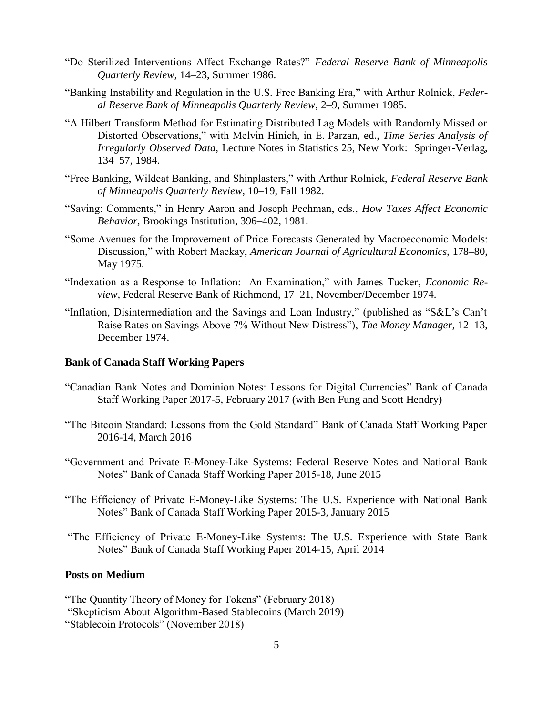- "Do Sterilized Interventions Affect Exchange Rates?" *Federal Reserve Bank of Minneapolis Quarterly Review,* 14–23, Summer 1986.
- "Banking Instability and Regulation in the U.S. Free Banking Era," with Arthur Rolnick, *Federal Reserve Bank of Minneapolis Quarterly Review,* 2–9, Summer 1985.
- "A Hilbert Transform Method for Estimating Distributed Lag Models with Randomly Missed or Distorted Observations," with Melvin Hinich, in E. Parzan, ed., *Time Series Analysis of Irregularly Observed Data,* Lecture Notes in Statistics 25, New York: Springer-Verlag, 134–57, 1984.
- "Free Banking, Wildcat Banking, and Shinplasters," with Arthur Rolnick, *Federal Reserve Bank of Minneapolis Quarterly Review,* 10–19, Fall 1982.
- "Saving: Comments," in Henry Aaron and Joseph Pechman, eds., *How Taxes Affect Economic Behavior,* Brookings Institution, 396–402, 1981.
- "Some Avenues for the Improvement of Price Forecasts Generated by Macroeconomic Models: Discussion," with Robert Mackay, *American Journal of Agricultural Economics,* 178–80, May 1975.
- "Indexation as a Response to Inflation: An Examination," with James Tucker, *Economic Review,* Federal Reserve Bank of Richmond, 17–21, November/December 1974.
- "Inflation, Disintermediation and the Savings and Loan Industry," (published as "S&L's Can't Raise Rates on Savings Above 7% Without New Distress"), *The Money Manager,* 12–13, December 1974.

#### **Bank of Canada Staff Working Papers**

- "Canadian Bank Notes and Dominion Notes: Lessons for Digital Currencies" Bank of Canada Staff Working Paper 2017-5, February 2017 (with Ben Fung and Scott Hendry)
- "The Bitcoin Standard: Lessons from the Gold Standard" Bank of Canada Staff Working Paper 2016-14, March 2016
- "Government and Private E-Money-Like Systems: Federal Reserve Notes and National Bank Notes" Bank of Canada Staff Working Paper 2015-18, June 2015
- "The Efficiency of Private E-Money-Like Systems: The U.S. Experience with National Bank Notes" Bank of Canada Staff Working Paper 2015-3, January 2015
- "The Efficiency of Private E-Money-Like Systems: The U.S. Experience with State Bank Notes" Bank of Canada Staff Working Paper 2014-15, April 2014

#### **Posts on Medium**

"The Quantity Theory of Money for Tokens" (February 2018)

"Skepticism About Algorithm-Based Stablecoins (March 2019)

"Stablecoin Protocols" (November 2018)